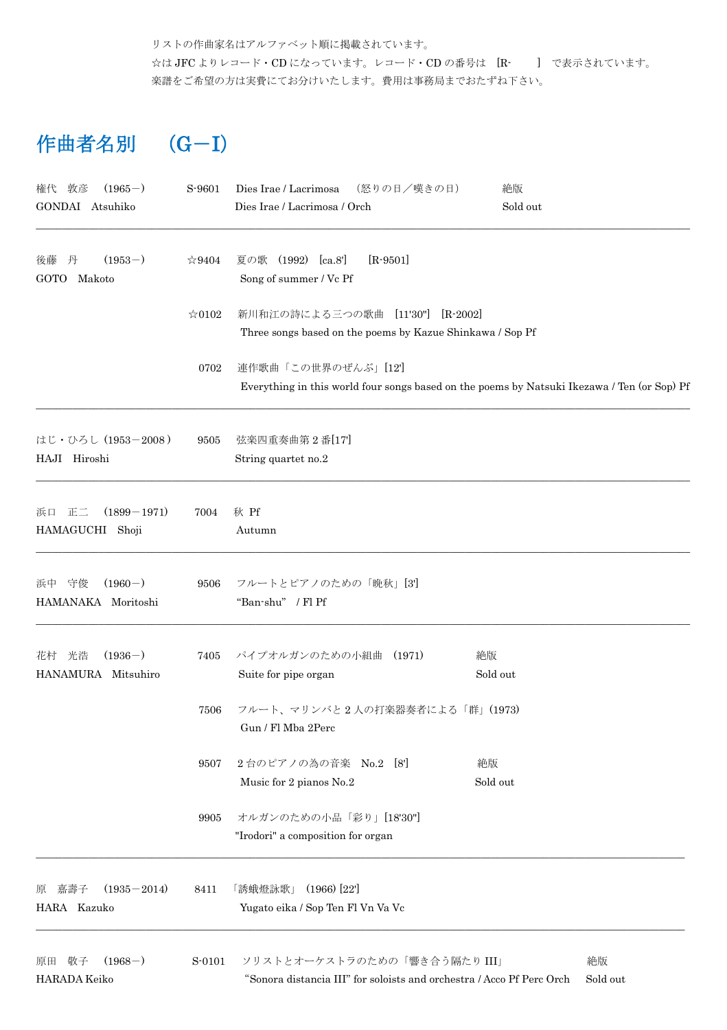リストの作曲家名はアルファベット順に掲載されています。 ☆は JFC よりレコード・CD になっています。レコード・CD の番号は [R- ] で表示されています。 楽譜をご希望の方は実費にてお分けいたします。費用は事務局までおたずね下さい。

## 作曲者名別 (G-I)

| $(1965-)$<br>権代<br>敦彦<br>GONDAI Atsuhiko       | S-9601         | (怒りの日/嘆きの日)<br>Dies Irae / Lacrimosa<br>Dies Irae / Lacrimosa / Orch                                              | 絶版<br>Sold out |
|------------------------------------------------|----------------|-------------------------------------------------------------------------------------------------------------------|----------------|
| $(1953-)$<br>後藤<br>丹<br><b>GOTO</b><br>Makoto  | $\&9404$       | 夏の歌 (1992) [ca.8']<br>$[R-9501]$<br>Song of summer / Vc Pf                                                        |                |
|                                                | $\approx 0102$ | 新川和江の詩による三つの歌曲 [11'30"]<br>$[R-2002]$<br>Three songs based on the poems by Kazue Shinkawa / Sop Pf                |                |
|                                                | 0702           | 連作歌曲「この世界のぜんぶ」[12]<br>Everything in this world four songs based on the poems by Natsuki Ikezawa / Ten (or Sop) Pf |                |
| はじ・ひろし (1953-2008)<br>HAJI Hiroshi             | 9505           | 弦楽四重奏曲第2番[17]<br>String quartet no.2                                                                              |                |
| $(1899 - 1971)$<br>正二<br>浜口<br>HAMAGUCHI Shoji | 7004           | 秋 Pf<br>Autumn                                                                                                    |                |
| $(1960-)$<br>守俊<br>浜中<br>HAMANAKA Moritoshi    | 9506           | フルートとピアノのための「晩秋」[3']<br>"Ban-shu" / Fl Pf                                                                         |                |
| $(1936-)$<br>光浩<br>花村<br>HANAMURA Mitsuhiro    | 7405           | パイプオルガンのための小組曲 (1971)<br>Suite for pipe organ                                                                     | 絶版<br>Sold out |
|                                                | 7506           | フルート、マリンバと2人の打楽器奏者による「群」(1973)<br>Gun / Fl Mba 2Perc                                                              |                |
|                                                | 9507           | 2台のピアノの為の音楽 No.2 [8]<br>Music for 2 pianos No.2                                                                   | 絶版<br>Sold out |
|                                                | 9905           | オルガンのための小品「彩り」[18'30"]<br>"Irodori" a composition for organ                                                       |                |
| 嘉壽子<br>$(1935 - 2014)$<br>原<br>HARA Kazuko     | 8411           | $(1966)$ [22]<br>「誘蛾燈詠歌」<br>Yugato eika / Sop Ten Fl Vn Va Vc                                                     |                |
| $(1968-)$<br>敬子<br>原田<br>HARADA Keiko          | S-0101         | ソリストとオーケストラのための「響き合う隔たりIII」<br>"Sonora distancia III" for soloists and orchestra / Acco Pf Perc Orch              | 絶版<br>Sold out |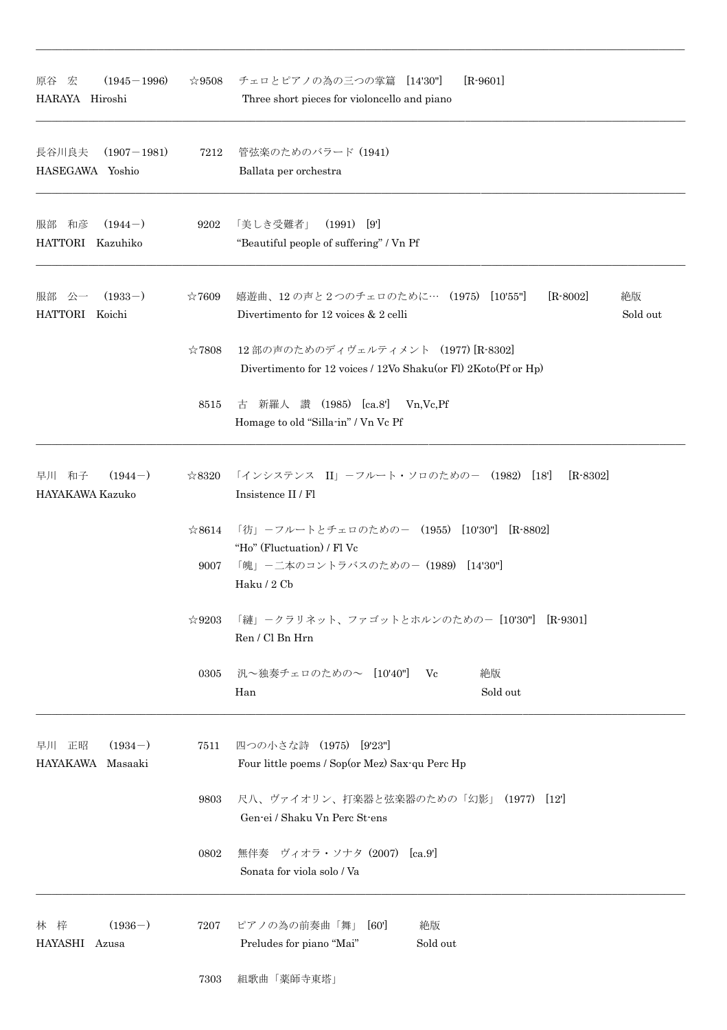| $(1945 - 1996)$<br>原谷<br>宏<br>HARAYA Hiroshi | $\approx 9508$         | チェロとピアノの為の三つの掌篇 [14'30"]<br>$[R-9601]$<br>Three short pieces for violoncello and piano                         |
|----------------------------------------------|------------------------|----------------------------------------------------------------------------------------------------------------|
| 長谷川良夫<br>$(1907 - 1981)$<br>HASEGAWA Yoshio  | 7212                   | 管弦楽のためのバラード (1941)<br>Ballata per orchestra                                                                    |
| $(1944-)$<br>和彦<br>服部<br>HATTORI Kazuhiko    | 9202                   | 「美しき受難者」<br>$(1991)$ [9']<br>"Beautiful people of suffering" / Vn Pf                                           |
| $(1933-)$<br>服部<br>公一<br>HATTORI<br>Koichi   | $*7609$                | 嬉遊曲、12の声と2つのチェロのために… (1975) [10'55"]<br>$[R-8002]$<br>絶版<br>Sold out<br>Divertimento for 12 voices & 2 celli   |
|                                              | ☆7808                  | 12部の声のためのディヴェルティメント (1977) [R-8302]<br>Divertimento for 12 voices / 12Vo Shaku(or Fl) 2Koto(Pf or Hp)          |
|                                              | 8515                   | 新羅人<br>讚 (1985) [ca.8']<br>Vn, Vc, Pf<br>古<br>Homage to old "Silla-in" / Vn Vc Pf                              |
| $(1944-)$<br>早川<br>和子<br>HAYAKAWA Kazuko     | $\approx 8320$         | 「インシステンス II」-フルート・ソロのための- (1982) [18']<br>$[R-8302]$<br>Insistence II / Fl                                     |
|                                              | $\approx 8614$<br>9007 | 「彷」ーフルートとチェロのためのー (1955) [10'30"] [R-8802]<br>"Ho" (Fluctuation) / Fl Vc<br>「魄」-二本のコントラバスのための- (1989) [14'30"] |
|                                              | $\approx 9203$         | Haku / 2 Cb<br>「縺」ークラリネット、ファゴットとホルンのためのー [10'30"] [R-9301]<br>Ren / Cl Bn Hrn                                  |
|                                              | 0305                   | 汎~独奏チェロのための~ [10'40"] Vc<br>絶版<br>Sold out<br>Han                                                              |
| $(1934-)$<br>早川 正昭<br>HAYAKAWA Masaaki       | 7511                   | 四つの小さな詩 (1975) [9'23"]<br>Four little poems / Sop(or Mez) Sax-qu Perc Hp                                       |
|                                              | 9803                   | 尺八、ヴァイオリン、打楽器と弦楽器のための「幻影」(1977) [12]<br>Gen-ei / Shaku Vn Perc St-ens                                          |
|                                              | 0802                   | 無伴奏 ヴィオラ・ソナタ (2007) [ca.9]<br>Sonata for viola solo / Va                                                       |
| $(1936-)$<br>林 梓<br>HAYASHI Azusa            | 7207                   | ピアノの為の前奏曲「舞」 [60']<br>絶版<br>Sold out<br>Preludes for piano "Mai"                                               |
|                                              | 7303                   | 組歌曲「薬師寺東塔」                                                                                                     |

 $\_$  , and the set of the set of the set of the set of the set of the set of the set of the set of the set of the set of the set of the set of the set of the set of the set of the set of the set of the set of the set of th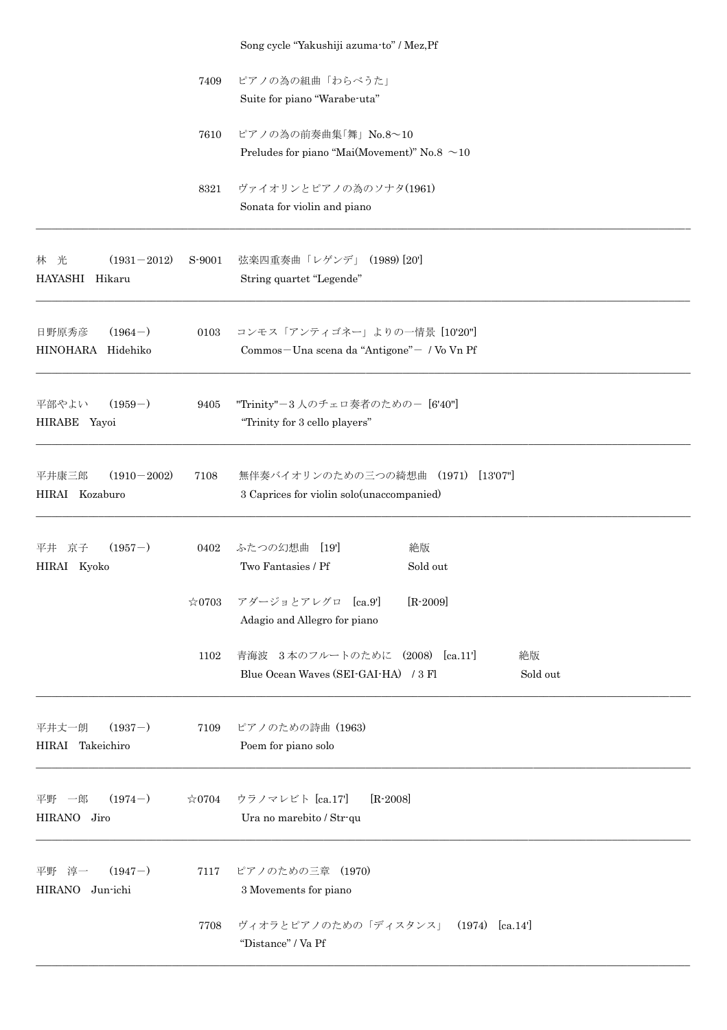|                                             |                | Song cycle "Yakushiji azuma-to" / Mez, Pf            |
|---------------------------------------------|----------------|------------------------------------------------------|
|                                             | 7409           | ピアノの為の組曲「わらべうた」                                      |
|                                             |                | Suite for piano "Warabe-uta"                         |
|                                             | 7610           | ピアノの為の前奏曲集「舞」 No.8~10                                |
|                                             |                | Preludes for piano "Mai(Movement)" No.8 $\sim$ 10    |
|                                             | 8321           | ヴァイオリンとピアノの為のソナタ(1961)                               |
|                                             |                | Sonata for violin and piano                          |
| 林 光<br>$(1931 - 2012)$<br>HAYASHI<br>Hikaru | S-9001         | 弦楽四重奏曲「レゲンデ」 (1989) [20]<br>String quartet "Legende" |
|                                             |                |                                                      |
| $(1964-)$<br>日野原秀彦                          | 0103           | コンモス「アンティゴネー」よりの一情景 [10'20"]                         |
| HINOHARA Hidehiko                           |                | Commos-Una scena da "Antigone" - / Vo Vn Pf          |
| $(1959-)$<br>平部やよい                          | 9405           | "Trinity"-3人のチェロ奏者のための- [6'40"]                      |
| HIRABE Yayoi                                |                | "Trinity for 3 cello players"                        |
| $(1910 - 2002)$<br>平井康三郎                    | 7108           | 無伴奏バイオリンのための三つの綺想曲 (1971) [13'07"]                   |
| HIRAI Kozaburo                              |                | 3 Caprices for violin solo (unaccompanied)           |
| $(1957-)$<br>京子<br>平井                       | 0402           | ふたつの幻想曲<br>[19]<br>絶版                                |
| HIRAI Kyoko                                 |                | Two Fantasies / Pf<br>Sold out                       |
|                                             | $\approx 0703$ | $[R-2009]$<br>アダージョとアレグロ [ca.9']                     |
|                                             |                | Adagio and Allegro for piano                         |
|                                             | 1102           | 青海波 3本のフルートのために (2008) [ca.11']<br>絶版                |
|                                             |                | Blue Ocean Waves (SEI-GAI-HA) / 3 Fl<br>Sold out     |
| $(1937-)$<br>平井丈一朗                          | 7109           | ピアノのための詩曲 (1963)                                     |
| HIRAI Takeichiro                            |                | Poem for piano solo                                  |
| $(1974-)$                                   |                | ウラノマレビト [ca.17]<br>$[R-2008]$                        |
| 平野 一郎<br>HIRANO Jiro                        | $\approx 0704$ | Ura no marebito / Str-qu                             |
| $(1947-)$<br>平野 淳一                          | 7117           | ピアノのための三章 (1970)                                     |
| <b>HIRANO</b><br>Jun-ichi                   |                | 3 Movements for piano                                |
|                                             | 7708           | ヴィオラとピアノのための「ディスタンス」 (1974) [ca.14']                 |
|                                             |                | "Distance" / Va $\cal{P}f$                           |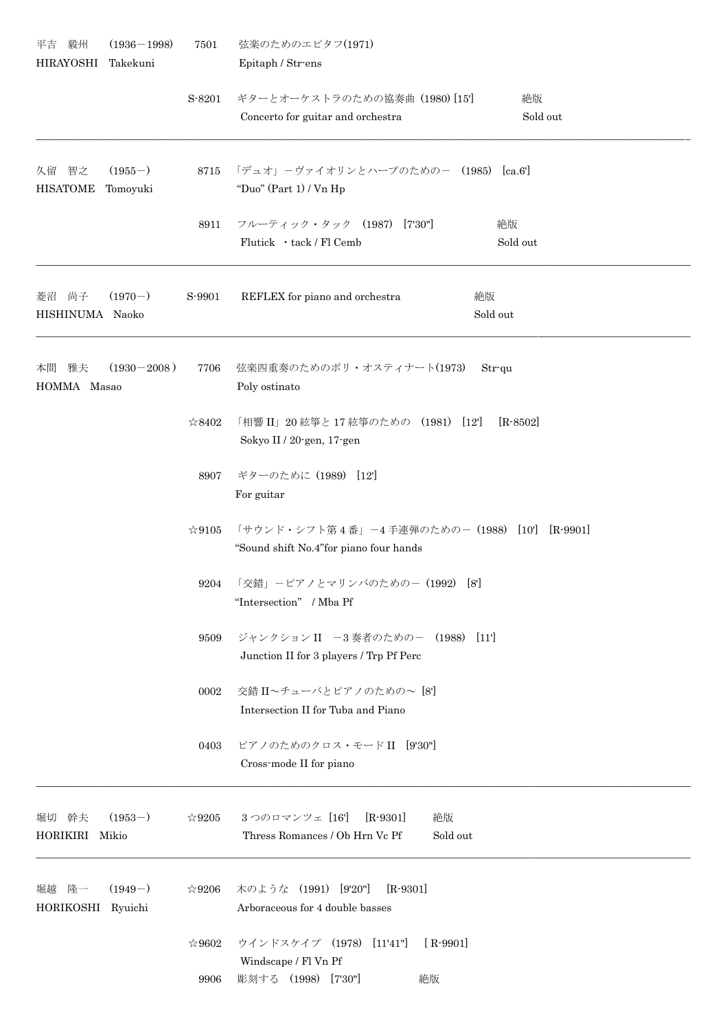| 毅州<br>平吉<br><b>HIRAYOSHI</b>                         | $(1936 - 1998)$<br>Takekuni | 7501                                                                                         | 弦楽のためのエピタフ(1971)<br>Epitaph / Str-ens                                                |
|------------------------------------------------------|-----------------------------|----------------------------------------------------------------------------------------------|--------------------------------------------------------------------------------------|
|                                                      |                             | S-8201                                                                                       | ギターとオーケストラのための協奏曲 (1980) [15]<br>絶版<br>Concerto for guitar and orchestra<br>Sold out |
| 智之<br>久留<br>$(1955-)$<br><b>HISATOME</b><br>Tomoyuki | 8715                        | 「デュオ」ーヴァイオリンとハープのためのー (1985) [ca.6']<br>"Duo" (Part 1) / Vn Hp                               |                                                                                      |
|                                                      | 8911                        | フルーティック・タック (1987) [7'30"]<br>絶版<br>Flutick · tack / Fl Cemb<br>Sold out                     |                                                                                      |
| 尚子<br>菱沼<br>HISHINUMA Naoko                          | $(1970-)$                   | S-9901                                                                                       | REFLEX for piano and orchestra<br>絶版<br>Sold out                                     |
| 雅夫<br>$(1930 - 2008)$<br>本間<br>HOMMA Masao           |                             | 7706                                                                                         | 弦楽四重奏のためのポリ・オスティナート(1973)<br>$Str$ qu<br>Poly ostinato                               |
|                                                      | ☆8402                       | 「相響 II」20 絃箏と 17 絃箏のための (1981) [12']<br>$[R - 8502]$<br>Sokyo II / 20-gen, 17-gen            |                                                                                      |
|                                                      | 8907                        | ギターのために (1989) [12]<br>For guitar                                                            |                                                                                      |
|                                                      | $\approx 9105$              | 「サウンド・シフト第4番」-4 手連弾のための-(1988) [10'] [R-9901]<br>"Sound shift No.4" for piano four hands     |                                                                                      |
|                                                      | 9204                        | 「交錯」ーピアノとマリンバのためのー (1992) [8']<br>"Intersection" / Mba Pf                                    |                                                                                      |
|                                                      | 9509                        | ジャンクション II -3奏者のための-<br>(1988)<br>$[11]$<br>Junction II for 3 players / Trp Pf Perc          |                                                                                      |
|                                                      | 0002                        | 交錯 II~チューバとピアノのための~ [8']<br>Intersection II for Tuba and Piano                               |                                                                                      |
|                                                      | 0403                        | ピアノのためのクロス・モードII [9'30"]<br>Cross-mode II for piano                                          |                                                                                      |
| 幹夫<br>堀切<br>HORIKIRI                                 | $(1953-)$<br>Mikio          | $\approx$ 9205                                                                               | 3つのロマンツェ [16]<br>$[R-9301]$<br>絶版<br>Thress Romances / Ob Hrn Vc Pf<br>Sold out      |
| 隆一<br>堀越<br>HORIKOSHI                                | $(1949-)$<br>Ryuichi        | $\approx 9206$                                                                               | 木のような (1991) [9'20"]<br>$[R-9301]$<br>Arboraceous for 4 double basses                |
|                                                      | $\approx 9602$<br>9906      | ウインドスケイプ (1978) [11'41"]<br>$[R$ -9901]<br>Windscape / Fl Vn Pf<br>彫刻する (1998) [7'30"]<br>絶版 |                                                                                      |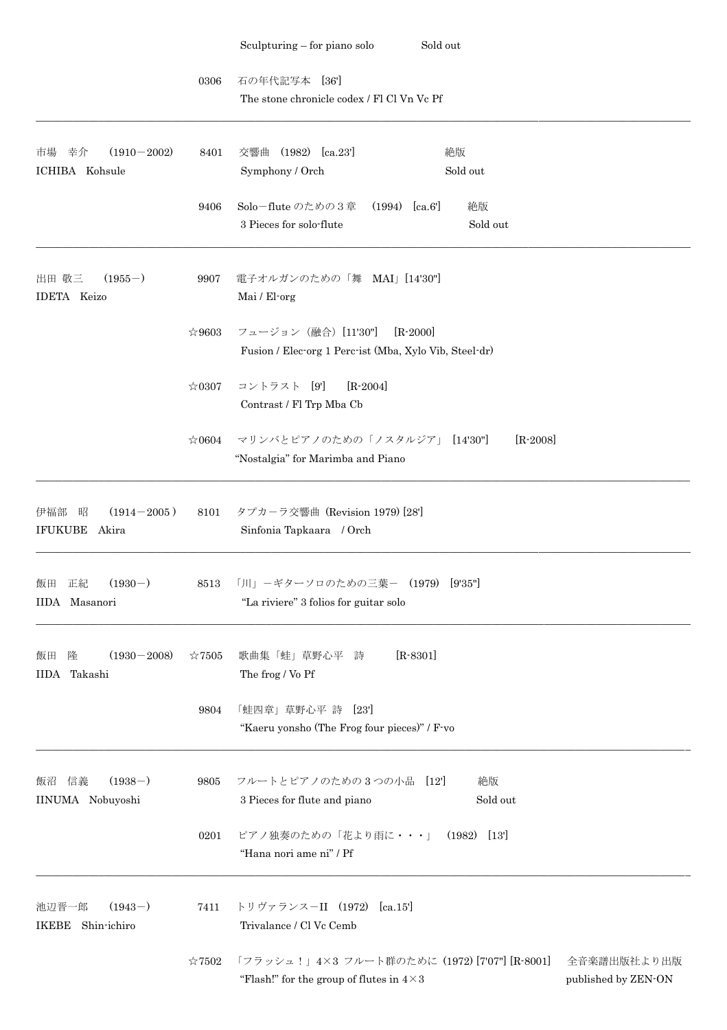|                                                   |                | Sold out<br>Sculpturing $-$ for piano solo                                                                                              |
|---------------------------------------------------|----------------|-----------------------------------------------------------------------------------------------------------------------------------------|
|                                                   | 0306           | 石の年代記写本<br>[36]                                                                                                                         |
|                                                   |                | The stone chronicle codex / Fl Cl Vn Vc Pf                                                                                              |
| 市場<br>$(1910 - 2002)$<br>幸介<br>ICHIBA Kohsule     | 8401           | $(1982)$ $[ca.23']$<br>絶版<br>交響曲<br>Symphony / Orch<br>Sold out                                                                         |
|                                                   | 9406           | Solo-flute のための3章<br>(1994)<br>[ca.6]<br>絶版<br>3 Pieces for solo-flute<br>Sold out                                                      |
| $(1955-)$<br>出田 敬三<br><b>IDETA</b> Keizo          | 9907           | 電子オルガンのための「舞 MAI」 [14'30"]<br>Mai / El-org                                                                                              |
|                                                   | ☆9603          | フュージョン (融合) [11'30"]<br>$[R - 2000]$<br>Fusion / Elec-org 1 Perc-ist (Mba, Xylo Vib, Steel-dr)                                          |
|                                                   | $\approx 0307$ | $[R-2004]$<br>コントラスト [9]<br>Contrast / Fl Trp Mba Cb                                                                                    |
|                                                   | $\approx 0604$ | マリンバとピアノのための「ノスタルジア」 [14'30"]<br>$[R - 2008]$<br>"Nostalgia" for Marimba and Piano                                                      |
| $(1914 - 2005)$<br>昭<br>伊福部<br>IFUKUBE Akira      | 8101           | タプカーラ交響曲 (Revision 1979) [28]<br>Sinfonia Tapkaara / Orch                                                                               |
| $(1930-)$<br>正紀<br>飯田<br>IIDA Masanori            | 8513           | 「川」-ギターソロのための三葉- (1979)<br>[9'35"]<br>"La riviere" 3 folios for guitar solo                                                             |
| $(1930 - 2008)$<br>隆<br>飯田<br>Takashi<br>IIDA     | $\approx 7505$ | $[R - 8301]$<br>歌曲集「蛙」草野心平 詩<br>The frog / Vo Pf                                                                                        |
|                                                   | 9804           | 「蛙四章」草野心平 詩<br>[23]<br>"Kaeru yonsho (The Frog four pieces)" / F-vo                                                                     |
| $(1938-)$<br>信義<br>飯沼<br>IINUMA Nobuyoshi         | 9805           | フルートとピアノのための3つの小品 [12]<br>絶版<br>Sold out<br>3 Pieces for flute and piano                                                                |
|                                                   | 0201           | ピアノ独奏のための「花より雨に・・・」 (1982)<br>[13]<br>"Hana nori ame ni" / Pf                                                                           |
| $(1943-)$<br>池辺晋一郎<br>Shin-ichiro<br><b>IKEBE</b> | 7411           | トリヴァランス-II (1972)<br>[ca.15]<br>Trivalance / Cl Vc Cemb                                                                                 |
|                                                   | $\approx 7502$ | 「フラッシュ!」4×3 フルート群のために (1972) [7'07"] [R-8001]<br>全音楽譜出版社より出版<br>"Flash!" for the group of flutes in $4 \times 3$<br>published by ZEN-ON |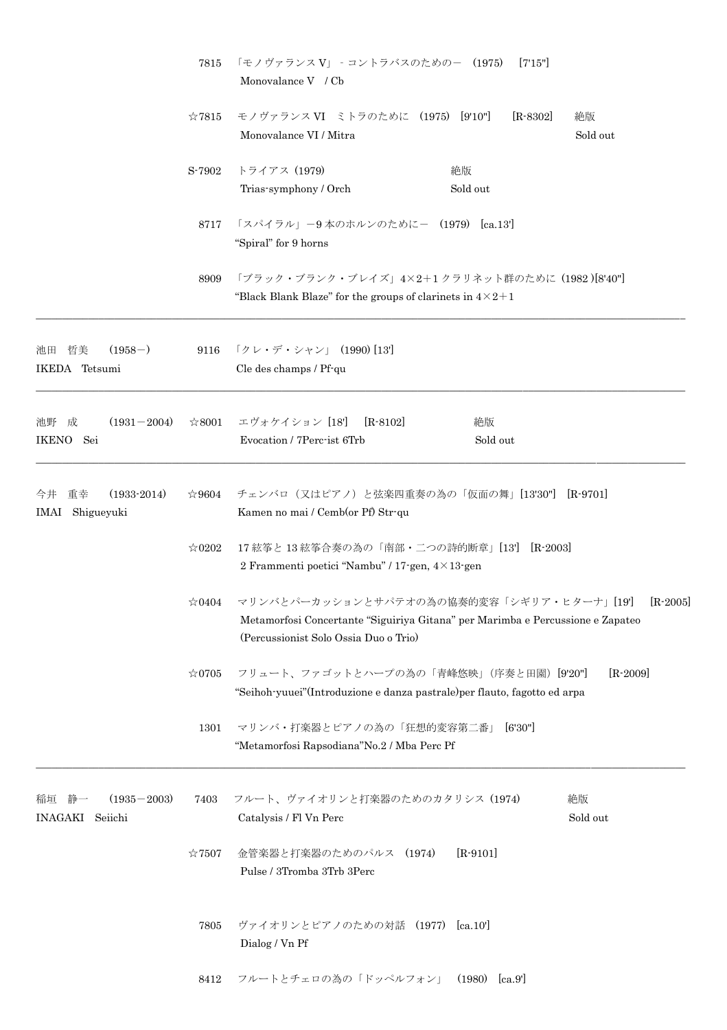|                                                | 7815<br>$\approx 7815$<br>S-7902 | 「モノヴァランス V」 - コントラバスのためのー (1975)<br>[7'15'']<br>Monovalance V / Cb                                                                                                                |  |
|------------------------------------------------|----------------------------------|-----------------------------------------------------------------------------------------------------------------------------------------------------------------------------------|--|
|                                                |                                  | モノヴァランスVI ミトラのために (1975) [9'10"]<br>$[R-8302]$<br>絶版<br>Monovalance VI / Mitra<br>Sold out                                                                                        |  |
|                                                |                                  | トライアス (1979)<br>絶版<br>Sold out<br>Trias-symphony / Orch                                                                                                                           |  |
|                                                | 8717                             | 「スパイラル」-9本のホルンのために- (1979) [ca.13']<br>"Spiral" for 9 horns                                                                                                                       |  |
|                                                | 8909                             | 「ブラック・ブランク・ブレイズ」4×2+1クラリネット群のために (1982)[8'40"]<br>"Black Blank Blaze" for the groups of clarinets in $4 \times 2 + 1$                                                             |  |
| $(1958-)$<br>池田 哲美<br>IKEDA Tetsumi            |                                  | 9116 「クレ・デ・シャン」 (1990) [13]<br>Cle des champs / Pf-qu                                                                                                                             |  |
| 池野 成<br>$(1931 - 2004)$<br>IKENO Sei           | $\approx 8001$                   | エヴォケイション [18]<br>$[R - 8102]$<br>絶版<br>Evocation / 7Perc-ist 6Trb<br>Sold out                                                                                                     |  |
| $(1933-2014)$<br>今井<br>重幸<br>IMAI Shigueyuki   | $\approx 9604$                   | チェンバロ(又はピアノ)と弦楽四重奏の為の「仮面の舞」[13'30"]<br>$[R-9701]$<br>Kamen no mai / Cemb(or Pf) Str-qu                                                                                            |  |
|                                                | $\approx 0202$                   | 17 絃筝と 13 絃筝合奏の為の「南部・二つの詩的断章」[13'] [R-2003]<br>2 Frammenti poetici "Nambu" / 17-gen, $4 \times 13$ -gen                                                                           |  |
|                                                | $\approx 0404$                   | マリンバとパーカッションとサパテオの為の協奏的変容「シギリア・ヒターナ」[19]<br>$[R-2005]$<br>Metamorfosi Concertante "Siguiriya Gitana" per Marimba e Percussione e Zapateo<br>(Percussionist Solo Ossia Duo o Trio) |  |
|                                                | $\approx 0705$                   | フリュート、ファゴットとハープの為の「青峰悠映」(序奏と田園) [9'20"]<br>$[R - 2009]$<br>"Seihoh-yuuei" (Introduzione e danza pastrale) per flauto, fagotto ed arpa                                             |  |
|                                                | 1301                             | マリンバ・打楽器とピアノの為の「狂想的変容第二番」<br>[6'30"]<br>"Metamorfosi Rapsodiana"No.2 / Mba Perc Pf                                                                                                |  |
| $(1935 - 2003)$<br>稲垣<br>静一<br>INAGAKI Seiichi | 7403                             | 絶版<br>フルート、ヴァイオリンと打楽器のためのカタリシス (1974)<br>Sold out<br>Catalysis / Fl Vn Perc                                                                                                       |  |
|                                                | $\approx 7507$                   | $[R-9101]$<br>金管楽器と打楽器のためのパルス (1974)<br>Pulse / 3Tromba 3Trb 3Perc                                                                                                                |  |
|                                                | 7805                             | ヴァイオリンとピアノのための対話 (1977) [ca.10']<br>Dialog / Vn Pf                                                                                                                                |  |
|                                                |                                  | 8412 フルートとチェロの為の「ドッペルフォン」 (1980) [ca.9]                                                                                                                                           |  |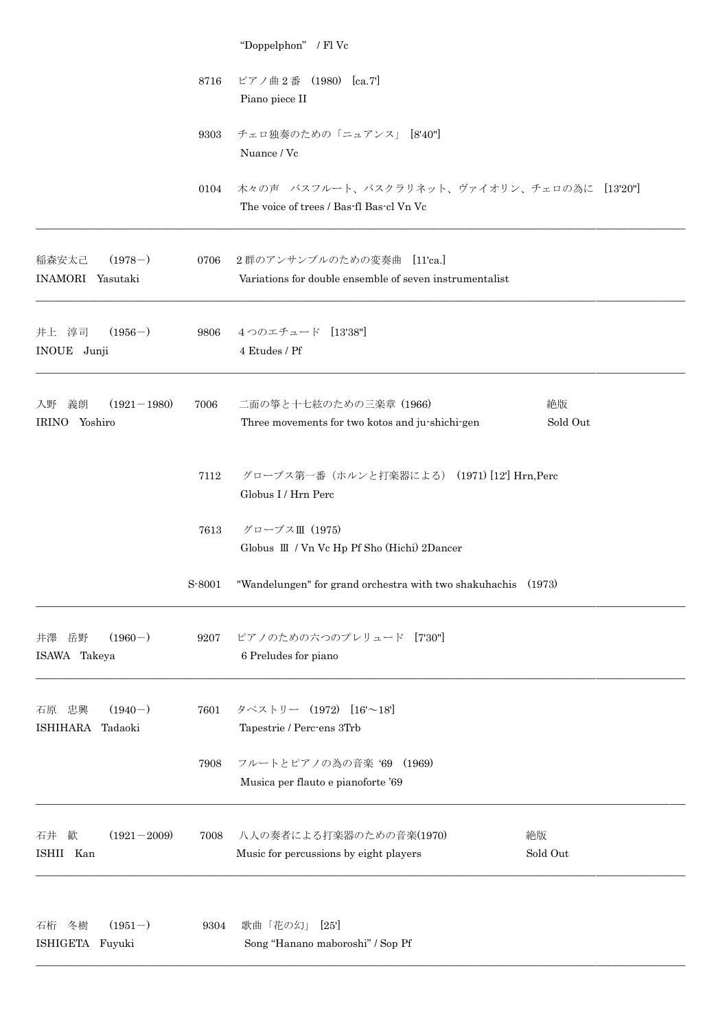|                                              |        | "Doppelphon" / Fl Vc                                                                        |
|----------------------------------------------|--------|---------------------------------------------------------------------------------------------|
|                                              | 8716   | ピアノ曲2番 (1980) [ca.7]<br>Piano piece II                                                      |
|                                              | 9303   | チェロ独奏のための「ニュアンス」 [8'40"]<br>Nuance / Vc                                                     |
|                                              | 0104   | 木々の声 バスフルート、バスクラリネット、ヴァイオリン、チェロの為に [13'20"]<br>The voice of trees / Bas-fl Bas-cl Vn Vc     |
| $(1978-)$<br>稲森安太己<br>INAMORI Yasutaki       |        | 0706 2群のアンサンブルのための変奏曲 [11'ca.]<br>Variations for double ensemble of seven instrumentalist   |
| $(1956-)$<br>井上 淳司<br>INOUE Junji            | 9806   | 4つのエチュード [13'38"]<br>4 Etudes / Pf                                                          |
| $(1921 - 1980)$<br>義朗<br>入野<br>IRINO Yoshiro | 7006   | 二面の箏と十七絃のための三楽章 (1966)<br>絶版<br>Three movements for two kotos and ju-shichi-gen<br>Sold Out |
|                                              | 7112   | グローブス第一番 (ホルンと打楽器による) (1971) [12'] Hrn, Perc<br>Globus I / Hrn Perc                         |
|                                              | 7613   | グローブスⅢ (1975)<br>Globus III / Vn Vc Hp Pf Sho (Hichi) 2Dancer                               |
|                                              | S-8001 | "Wandelungen" for grand orchestra with two shakuhachis (1973)                               |
| $(1960-)$<br>岳野<br>井澤<br>ISAWA Takeya        | 9207   | ピアノのための六つのプレリュード [730"]<br>6 Preludes for piano                                             |
| $(1940-)$<br>忠興<br>石原<br>ISHIHARA<br>Tadaoki | 7601   | タペストリー (1972) [16'~18']<br>Tapestrie / Perc-ens 3Trb                                        |
|                                              | 7908   | フルートとピアノの為の音楽 '69 (1969)<br>Musica per flauto e pianoforte '69                              |
| $(1921 - 2009)$<br>石井<br>歓<br>ISHII Kan      | 7008   | 八人の奏者による打楽器のための音楽(1970)<br>絶版<br>Music for percussions by eight players<br>Sold Out         |
| $(1951-)$<br>冬樹<br>石桁<br>ISHIGETA Fuyuki     | 9304   | 歌曲「花の幻」<br>[25]<br>Song "Hanano maboroshi" / Sop Pf                                         |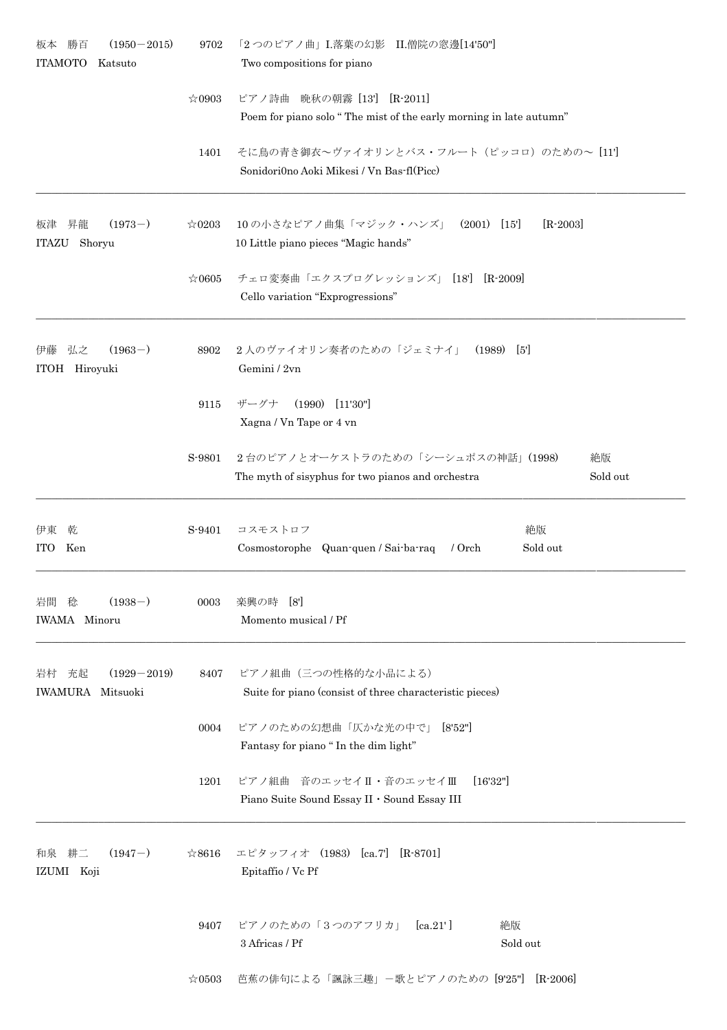| $(1950 - 2015)$<br>勝百<br>板本<br><b>ITAMOTO</b><br>Katsuto | 9702           | 「2つのピアノ曲」I.落葉の幻影 II.僧院の窓邊[14'50"]<br>Two compositions for piano                                           |
|----------------------------------------------------------|----------------|-----------------------------------------------------------------------------------------------------------|
|                                                          | $\approx 0903$ | ピアノ詩曲<br> 晩秋の朝霧[13'] [R-2011]                                                                             |
|                                                          |                | Poem for piano solo "The mist of the early morning in late autumn"                                        |
|                                                          | 1401           | そに鳥の青き御衣~ヴァイオリンとバス・フルート (ピッコロ) のための~ [11]<br>Sonidori0no Aoki Mikesi / Vn Bas-fl(Picc)                    |
| $(1973-)$<br>昇龍<br>板津<br>Shoryu<br>ITAZU                 | $\approx 0203$ | 10の小さなピアノ曲集「マジック・ハンズ」 (2001) [15]<br>$[R-2003]$<br>10 Little piano pieces "Magic hands"                   |
|                                                          | $\approx 0605$ | チェロ変奏曲「エクスプログレッションズ」 [18'] [R-2009]<br>Cello variation "Exprogressions"                                   |
| $(1963-)$<br>弘之<br>伊藤<br>ITOH Hiroyuki                   | 8902           | 2人のヴァイオリン奏者のための「ジェミナイ」<br>$(1989)$ [5']<br>Gemini / 2vn                                                   |
|                                                          | 9115           | $(1990)$ $[11'30'']$<br>ザーグナ<br>Xagna / Vn Tape or 4 vn                                                   |
|                                                          | S-9801         | 2台のピアノとオーケストラのための「シーシュポスの神話」(1998)<br>絶版<br>Sold out<br>The myth of sisyphus for two pianos and orchestra |
| 伊東<br>乾<br>Ken<br><b>ITO</b>                             | S-9401         | コスモストロフ<br>絶版<br>Cosmostorophe Quan-quen / Sai-ba-raq<br>Sold out<br>/ Orch                               |
| $(1938-)$<br>岩間<br>稔<br>IWAMA Minoru                     | 0003           | 楽興の時 [8']<br>Momento musical / Pf                                                                         |
| 充起<br>$(1929 - 2019)$<br>岩村<br>IWAMURA Mitsuoki          | 8407           | ピアノ組曲 (三つの性格的な小品による)<br>Suite for piano (consist of three characteristic pieces)                          |
|                                                          | 0004           | ピアノのための幻想曲「仄かな光の中で」<br>[8'52"]<br>Fantasy for piano "In the dim light"                                    |
|                                                          | 1201           | ピアノ組曲 音のエッセイⅡ・音のエッセイⅢ<br>[16'32"]<br>Piano Suite Sound Essay II . Sound Essay III                         |
| 和泉 耕二<br>$(1947-)$<br>IZUMI Koji                         | $\approx 8616$ | エピタッフィオ (1983) [ca.7] [R-8701]<br>Epitaffio / Vc Pf                                                       |
|                                                          | 9407           | ピアノのための「3つのアフリカ」<br>$[\text{ca.21'}]$<br>絶版<br>$3$ Africas $/$ Pf $\,$<br>Sold out                        |
|                                                          | $\approx 0503$ | 芭蕉の俳句による「諷詠三趣」ー歌とピアノのための [9'25"] [R-2006]                                                                 |